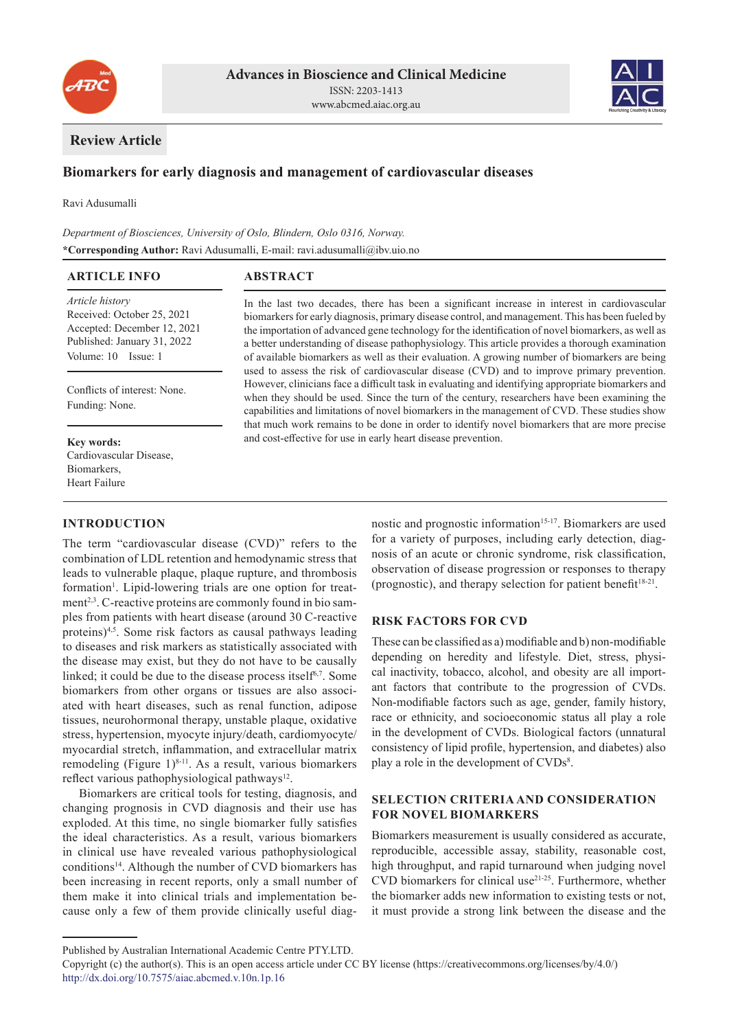



# **Review Article**

# **Biomarkers for early diagnosis and management of cardiovascular diseases**

Ravi Adusumalli

*Department of Biosciences, University of Oslo, Blindern, Oslo 0316, Norway.* **\*Corresponding Author:** Ravi Adusumalli, E-mail: ravi.adusumalli@ibv.uio.no

| <b>ARTICLE INFO</b>                                                                                                                | <b>ABSTRACT</b>                                                                                                                                                                                                                                                                                                                                                                                                                                                                                                                                                                                                                                                                                                                                                                                                                                                                                                                                                                                                                                                                   |
|------------------------------------------------------------------------------------------------------------------------------------|-----------------------------------------------------------------------------------------------------------------------------------------------------------------------------------------------------------------------------------------------------------------------------------------------------------------------------------------------------------------------------------------------------------------------------------------------------------------------------------------------------------------------------------------------------------------------------------------------------------------------------------------------------------------------------------------------------------------------------------------------------------------------------------------------------------------------------------------------------------------------------------------------------------------------------------------------------------------------------------------------------------------------------------------------------------------------------------|
| Article history<br>Received: October 25, 2021<br>Accepted: December 12, 2021<br>Published: January 31, 2022<br>Volume: 10 Issue: 1 | In the last two decades, there has been a significant increase in interest in cardiovascular<br>biomarkers for early diagnosis, primary disease control, and management. This has been fueled by<br>the importation of advanced gene technology for the identification of novel biomarkers, as well as<br>a better understanding of disease pathophysiology. This article provides a thorough examination<br>of available biomarkers as well as their evaluation. A growing number of biomarkers are being<br>used to assess the risk of cardiovascular disease (CVD) and to improve primary prevention.<br>However, clinicians face a difficult task in evaluating and identifying appropriate biomarkers and<br>when they should be used. Since the turn of the century, researchers have been examining the<br>capabilities and limitations of novel biomarkers in the management of CVD. These studies show<br>that much work remains to be done in order to identify novel biomarkers that are more precise<br>and cost-effective for use in early heart disease prevention. |
| Conflicts of interest: None.<br>Funding: None.                                                                                     |                                                                                                                                                                                                                                                                                                                                                                                                                                                                                                                                                                                                                                                                                                                                                                                                                                                                                                                                                                                                                                                                                   |
| Key words:<br>Cardiovascular Disease,<br>Biomarkers,                                                                               |                                                                                                                                                                                                                                                                                                                                                                                                                                                                                                                                                                                                                                                                                                                                                                                                                                                                                                                                                                                                                                                                                   |
| Heart Failure                                                                                                                      |                                                                                                                                                                                                                                                                                                                                                                                                                                                                                                                                                                                                                                                                                                                                                                                                                                                                                                                                                                                                                                                                                   |

## **INTRODUCTION**

The term "cardiovascular disease (CVD)" refers to the combination of LDL retention and hemodynamic stress that leads to vulnerable plaque, plaque rupture, and thrombosis formation<sup>1</sup>. Lipid-lowering trials are one option for treatment<sup>2,3</sup>. C-reactive proteins are commonly found in bio samples from patients with heart disease (around 30 C-reactive proteins)4,5. Some risk factors as causal pathways leading to diseases and risk markers as statistically associated with the disease may exist, but they do not have to be causally linked; it could be due to the disease process itself<sup>6,7</sup>. Some biomarkers from other organs or tissues are also associated with heart diseases, such as renal function, adipose tissues, neurohormonal therapy, unstable plaque, oxidative stress, hypertension, myocyte injury/death, cardiomyocyte/ myocardial stretch, inflammation, and extracellular matrix remodeling (Figure 1) $8-11$ . As a result, various biomarkers reflect various pathophysiological pathways<sup>12</sup>.

Biomarkers are critical tools for testing, diagnosis, and changing prognosis in CVD diagnosis and their use has exploded. At this time, no single biomarker fully satisfies the ideal characteristics. As a result, various biomarkers in clinical use have revealed various pathophysiological conditions<sup>14</sup>. Although the number of CVD biomarkers has been increasing in recent reports, only a small number of them make it into clinical trials and implementation because only a few of them provide clinically useful diagnostic and prognostic information<sup>15-17</sup>. Biomarkers are used for a variety of purposes, including early detection, diagnosis of an acute or chronic syndrome, risk classification, observation of disease progression or responses to therapy (prognostic), and therapy selection for patient benefit<sup>18-21</sup>.

## **RISK FACTORS FOR CVD**

These can be classified as a) modifiable and b) non-modifiable depending on heredity and lifestyle. Diet, stress, physical inactivity, tobacco, alcohol, and obesity are all important factors that contribute to the progression of CVDs. Non-modifiable factors such as age, gender, family history, race or ethnicity, and socioeconomic status all play a role in the development of CVDs. Biological factors (unnatural consistency of lipid profile, hypertension, and diabetes) also play a role in the development of CVDs<sup>8</sup>.

## **SELECTION CRITERIA AND CONSIDERATION FOR NOVEL BIOMARKERS**

Biomarkers measurement is usually considered as accurate, reproducible, accessible assay, stability, reasonable cost, high throughput, and rapid turnaround when judging novel CVD biomarkers for clinical use21-25. Furthermore, whether the biomarker adds new information to existing tests or not, it must provide a strong link between the disease and the

Published by Australian International Academic Centre PTY.LTD.

Copyright (c) the author(s). This is an open access article under CC BY license (https://creativecommons.org/licenses/by/4.0/) http://dx.doi.org/10.7575/aiac.abcmed.v.10n.1p.16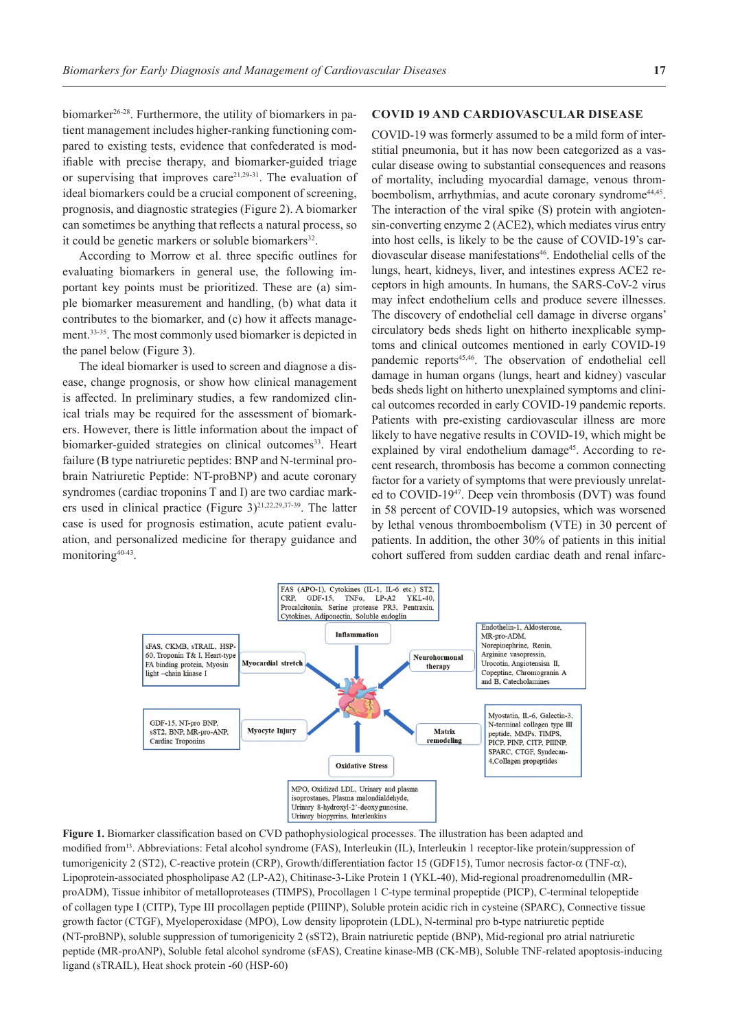biomarker<sup>26-28</sup>. Furthermore, the utility of biomarkers in patient management includes higher-ranking functioning compared to existing tests, evidence that confederated is modifiable with precise therapy, and biomarker-guided triage or supervising that improves care<sup>21,29-31</sup>. The evaluation of ideal biomarkers could be a crucial component of screening, prognosis, and diagnostic strategies (Figure 2). A biomarker can sometimes be anything that reflects a natural process, so it could be genetic markers or soluble biomarkers<sup>32</sup>.

According to Morrow et al. three specific outlines for evaluating biomarkers in general use, the following important key points must be prioritized. These are (a) simple biomarker measurement and handling, (b) what data it contributes to the biomarker, and (c) how it affects management.33-35. The most commonly used biomarker is depicted in the panel below (Figure 3).

The ideal biomarker is used to screen and diagnose a disease, change prognosis, or show how clinical management is affected. In preliminary studies, a few randomized clinical trials may be required for the assessment of biomarkers. However, there is little information about the impact of biomarker-guided strategies on clinical outcomes<sup>33</sup>. Heart failure (B type natriuretic peptides: BNP and N-terminal probrain Natriuretic Peptide: NT-proBNP) and acute coronary syndromes (cardiac troponins T and I) are two cardiac markers used in clinical practice (Figure  $3)^{21,22,29,37-39}$ . The latter case is used for prognosis estimation, acute patient evaluation, and personalized medicine for therapy guidance and monitoring<sup>40-43</sup>.

## **COVID 19 AND CARDIOVASCULAR DISEASE**

COVID-19 was formerly assumed to be a mild form of interstitial pneumonia, but it has now been categorized as a vascular disease owing to substantial consequences and reasons of mortality, including myocardial damage, venous thromboembolism, arrhythmias, and acute coronary syndrome<sup>44,45</sup>. The interaction of the viral spike (S) protein with angiotensin-converting enzyme 2 (ACE2), which mediates virus entry into host cells, is likely to be the cause of COVID-19's cardiovascular disease manifestations<sup>46</sup>. Endothelial cells of the lungs, heart, kidneys, liver, and intestines express ACE2 receptors in high amounts. In humans, the SARS-CoV-2 virus may infect endothelium cells and produce severe illnesses. The discovery of endothelial cell damage in diverse organs' circulatory beds sheds light on hitherto inexplicable symptoms and clinical outcomes mentioned in early COVID-19 pandemic reports<sup>45,46</sup>. The observation of endothelial cell damage in human organs (lungs, heart and kidney) vascular beds sheds light on hitherto unexplained symptoms and clinical outcomes recorded in early COVID-19 pandemic reports. Patients with pre-existing cardiovascular illness are more likely to have negative results in COVID-19, which might be explained by viral endothelium damage<sup>45</sup>. According to recent research, thrombosis has become a common connecting factor for a variety of symptoms that were previously unrelated to COVID-1947. Deep vein thrombosis (DVT) was found in 58 percent of COVID-19 autopsies, which was worsened by lethal venous thromboembolism (VTE) in 30 percent of patients. In addition, the other 30% of patients in this initial cohort suffered from sudden cardiac death and renal infarc-



**Figure 1.** Biomarker classification based on CVD pathophysiological processes. The illustration has been adapted and modified from<sup>13</sup>. Abbreviations: Fetal alcohol syndrome (FAS), Interleukin (IL), Interleukin 1 receptor-like protein/suppression of tumorigenicity 2 (ST2), C-reactive protein (CRP), Growth/differentiation factor 15 (GDF15), Tumor necrosis factor-α (TNF-α), Lipoprotein-associated phospholipase A2 (LP-A2), Chitinase-3-Like Protein 1 (YKL-40), Mid-regional proadrenomedullin (MRproADM), Tissue inhibitor of metalloproteases (TIMPS), Procollagen 1 C-type terminal propeptide (PICP), C-terminal telopeptide of collagen type I (CITP), Type III procollagen peptide (PIIINP), Soluble protein acidic rich in cysteine (SPARC), Connective tissue growth factor (CTGF), Myeloperoxidase (MPO), Low density lipoprotein (LDL), N-terminal pro b-type natriuretic peptide (NT-proBNP), soluble suppression of tumorigenicity 2 (sST2), Brain natriuretic peptide (BNP), Mid-regional pro atrial natriuretic peptide (MR-proANP), Soluble fetal alcohol syndrome (sFAS), Creatine kinase-MB (CK-MB), Soluble TNF-related apoptosis-inducing ligand (sTRAIL), Heat shock protein -60 (HSP-60)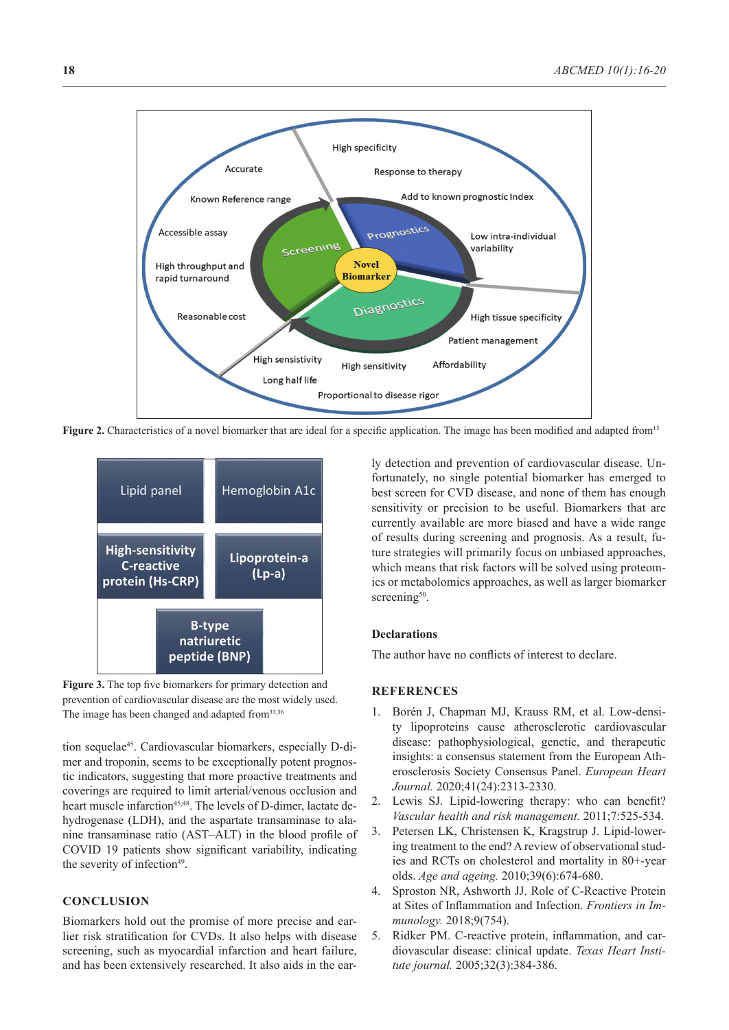

**Figure 2.** Characteristics of a novel biomarker that are ideal for a specific application. The image has been modified and adapted from<sup>15</sup>



**Figure 3.** The top five biomarkers for primary detection and prevention of cardiovascular disease are the most widely used. The image has been changed and adapted from<sup>33,36</sup>

tion sequelae<sup>45</sup>. Cardiovascular biomarkers, especially D-dimer and troponin, seems to be exceptionally potent prognostic indicators, suggesting that more proactive treatments and coverings are required to limit arterial/venous occlusion and heart muscle infarction<sup>45,48</sup>. The levels of D-dimer, lactate dehydrogenase (LDH), and the aspartate transaminase to alanine transaminase ratio (AST–ALT) in the blood profile of COVID 19 patients show significant variability, indicating the severity of infection<sup>49</sup>.

## **CONCLUSION**

Biomarkers hold out the promise of more precise and earlier risk stratification for CVDs. It also helps with disease screening, such as myocardial infarction and heart failure, and has been extensively researched. It also aids in the early detection and prevention of cardiovascular disease. Unfortunately, no single potential biomarker has emerged to best screen for CVD disease, and none of them has enough sensitivity or precision to be useful. Biomarkers that are currently available are more biased and have a wide range of results during screening and prognosis. As a result, future strategies will primarily focus on unbiased approaches, which means that risk factors will be solved using proteomics or metabolomics approaches, as well as larger biomarker screening<sup>50</sup>.

#### **Declarations**

The author have no conflicts of interest to declare.

## **REFERENCES**

- 1. Borén J, Chapman MJ, Krauss RM, et al. Low-density lipoproteins cause atherosclerotic cardiovascular disease: pathophysiological, genetic, and therapeutic insights: a consensus statement from the European Atherosclerosis Society Consensus Panel. *European Heart Journal.* 2020;41(24):2313-2330.
- 2. Lewis SJ. Lipid-lowering therapy: who can benefit? *Vascular health and risk management.* 2011;7:525-534.
- 3. Petersen LK, Christensen K, Kragstrup J. Lipid-lowering treatment to the end? A review of observational studies and RCTs on cholesterol and mortality in 80+-year olds. *Age and ageing.* 2010;39(6):674-680.
- 4. Sproston NR, Ashworth JJ. Role of C-Reactive Protein at Sites of Inflammation and Infection. *Frontiers in Immunology.* 2018;9(754).
- 5. Ridker PM. C-reactive protein, inflammation, and cardiovascular disease: clinical update. *Texas Heart Institute journal.* 2005;32(3):384-386.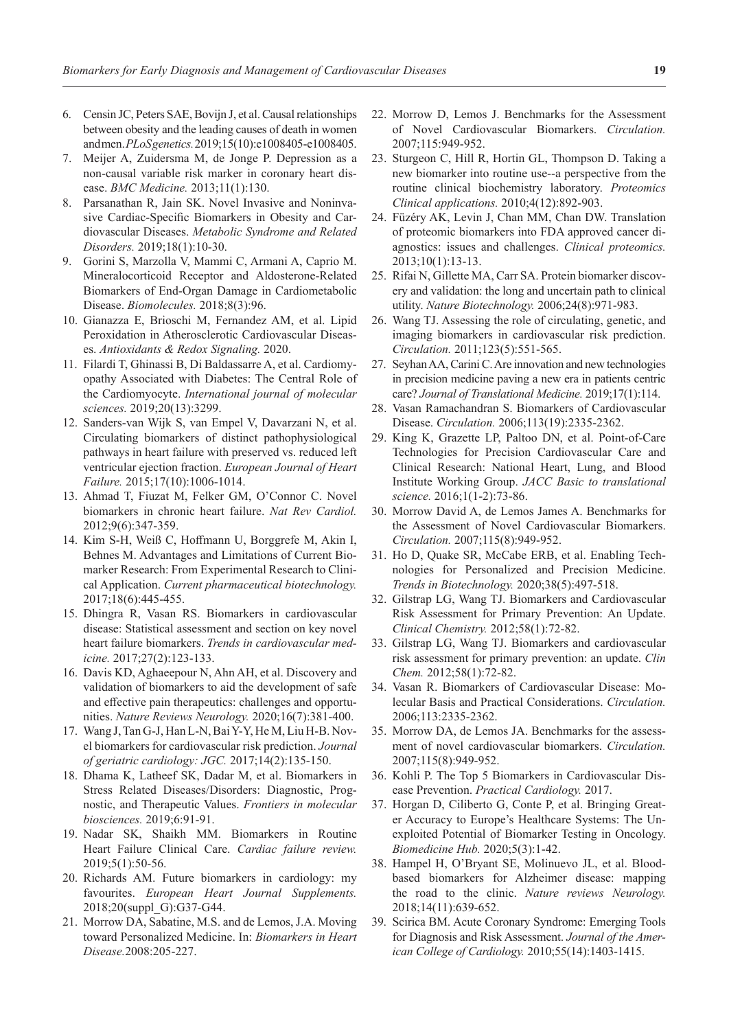- 6. Censin JC, Peters SAE, Bovijn J, et al. Causal relationships between obesity and the leading causes of death in women and men. *PLoS genetics.* 2019;15(10):e1008405-e1008405.
- 7. Meijer A, Zuidersma M, de Jonge P. Depression as a non-causal variable risk marker in coronary heart disease. *BMC Medicine.* 2013;11(1):130.
- 8. Parsanathan R, Jain SK. Novel Invasive and Noninvasive Cardiac-Specific Biomarkers in Obesity and Cardiovascular Diseases. *Metabolic Syndrome and Related Disorders.* 2019;18(1):10-30.
- 9. Gorini S, Marzolla V, Mammi C, Armani A, Caprio M. Mineralocorticoid Receptor and Aldosterone-Related Biomarkers of End-Organ Damage in Cardiometabolic Disease. *Biomolecules.* 2018;8(3):96.
- 10. Gianazza E, Brioschi M, Fernandez AM, et al. Lipid Peroxidation in Atherosclerotic Cardiovascular Diseases. *Antioxidants & Redox Signaling.* 2020.
- 11. Filardi T, Ghinassi B, Di Baldassarre A, et al. Cardiomyopathy Associated with Diabetes: The Central Role of the Cardiomyocyte. *International journal of molecular sciences.* 2019;20(13):3299.
- 12. Sanders-van Wijk S, van Empel V, Davarzani N, et al. Circulating biomarkers of distinct pathophysiological pathways in heart failure with preserved vs. reduced left ventricular ejection fraction. *European Journal of Heart Failure.* 2015;17(10):1006-1014.
- 13. Ahmad T, Fiuzat M, Felker GM, O'Connor C. Novel biomarkers in chronic heart failure. *Nat Rev Cardiol.*  2012;9(6):347-359.
- 14. Kim S-H, Weiß C, Hoffmann U, Borggrefe M, Akin I, Behnes M. Advantages and Limitations of Current Biomarker Research: From Experimental Research to Clinical Application. *Current pharmaceutical biotechnology.*  2017;18(6):445-455.
- 15. Dhingra R, Vasan RS. Biomarkers in cardiovascular disease: Statistical assessment and section on key novel heart failure biomarkers. *Trends in cardiovascular medicine.* 2017;27(2):123-133.
- 16. Davis KD, Aghaeepour N, Ahn AH, et al. Discovery and validation of biomarkers to aid the development of safe and effective pain therapeutics: challenges and opportunities. *Nature Reviews Neurology.* 2020;16(7):381-400.
- 17. Wang J, Tan G-J, Han L-N, Bai Y-Y, He M, Liu H-B. Novel biomarkers for cardiovascular risk prediction. *Journal of geriatric cardiology: JGC.* 2017;14(2):135-150.
- 18. Dhama K, Latheef SK, Dadar M, et al. Biomarkers in Stress Related Diseases/Disorders: Diagnostic, Prognostic, and Therapeutic Values. *Frontiers in molecular biosciences.* 2019;6:91-91.
- 19. Nadar SK, Shaikh MM. Biomarkers in Routine Heart Failure Clinical Care. *Cardiac failure review.*  2019;5(1):50-56.
- 20. Richards AM. Future biomarkers in cardiology: my favourites. *European Heart Journal Supplements.*  2018;20(suppl\_G):G37-G44.
- 21. Morrow DA, Sabatine, M.S. and de Lemos, J.A. Moving toward Personalized Medicine. In: *Biomarkers in Heart Disease.*2008:205-227.
- 22. Morrow D, Lemos J. Benchmarks for the Assessment of Novel Cardiovascular Biomarkers. *Circulation.*  2007;115:949-952.
- 23. Sturgeon C, Hill R, Hortin GL, Thompson D. Taking a new biomarker into routine use--a perspective from the routine clinical biochemistry laboratory. *Proteomics Clinical applications.* 2010;4(12):892-903.
- 24. Füzéry AK, Levin J, Chan MM, Chan DW. Translation of proteomic biomarkers into FDA approved cancer diagnostics: issues and challenges. *Clinical proteomics.*  2013;10(1):13-13.
- 25. Rifai N, Gillette MA, Carr SA. Protein biomarker discovery and validation: the long and uncertain path to clinical utility. *Nature Biotechnology.* 2006;24(8):971-983.
- 26. Wang TJ. Assessing the role of circulating, genetic, and imaging biomarkers in cardiovascular risk prediction. *Circulation.* 2011;123(5):551-565.
- 27. Seyhan AA, Carini C. Are innovation and new technologies in precision medicine paving a new era in patients centric care? *Journal of Translational Medicine.* 2019;17(1):114.
- 28. Vasan Ramachandran S. Biomarkers of Cardiovascular Disease. *Circulation.* 2006;113(19):2335-2362.
- 29. King K, Grazette LP, Paltoo DN, et al. Point-of-Care Technologies for Precision Cardiovascular Care and Clinical Research: National Heart, Lung, and Blood Institute Working Group. *JACC Basic to translational science.* 2016;1(1-2):73-86.
- 30. Morrow David A, de Lemos James A. Benchmarks for the Assessment of Novel Cardiovascular Biomarkers. *Circulation.* 2007;115(8):949-952.
- 31. Ho D, Quake SR, McCabe ERB, et al. Enabling Technologies for Personalized and Precision Medicine. *Trends in Biotechnology.* 2020;38(5):497-518.
- 32. Gilstrap LG, Wang TJ. Biomarkers and Cardiovascular Risk Assessment for Primary Prevention: An Update. *Clinical Chemistry.* 2012;58(1):72-82.
- 33. Gilstrap LG, Wang TJ. Biomarkers and cardiovascular risk assessment for primary prevention: an update. *Clin Chem.* 2012;58(1):72-82.
- 34. Vasan R. Biomarkers of Cardiovascular Disease: Molecular Basis and Practical Considerations. *Circulation.*  2006;113:2335-2362.
- 35. Morrow DA, de Lemos JA. Benchmarks for the assessment of novel cardiovascular biomarkers. *Circulation.*  2007;115(8):949-952.
- 36. Kohli P. The Top 5 Biomarkers in Cardiovascular Disease Prevention. *Practical Cardiology.* 2017.
- 37. Horgan D, Ciliberto G, Conte P, et al. Bringing Greater Accuracy to Europe's Healthcare Systems: The Unexploited Potential of Biomarker Testing in Oncology. *Biomedicine Hub.* 2020;5(3):1-42.
- 38. Hampel H, O'Bryant SE, Molinuevo JL, et al. Bloodbased biomarkers for Alzheimer disease: mapping the road to the clinic. *Nature reviews Neurology.*  2018;14(11):639-652.
- 39. Scirica BM. Acute Coronary Syndrome: Emerging Tools for Diagnosis and Risk Assessment. *Journal of the American College of Cardiology.* 2010;55(14):1403-1415.